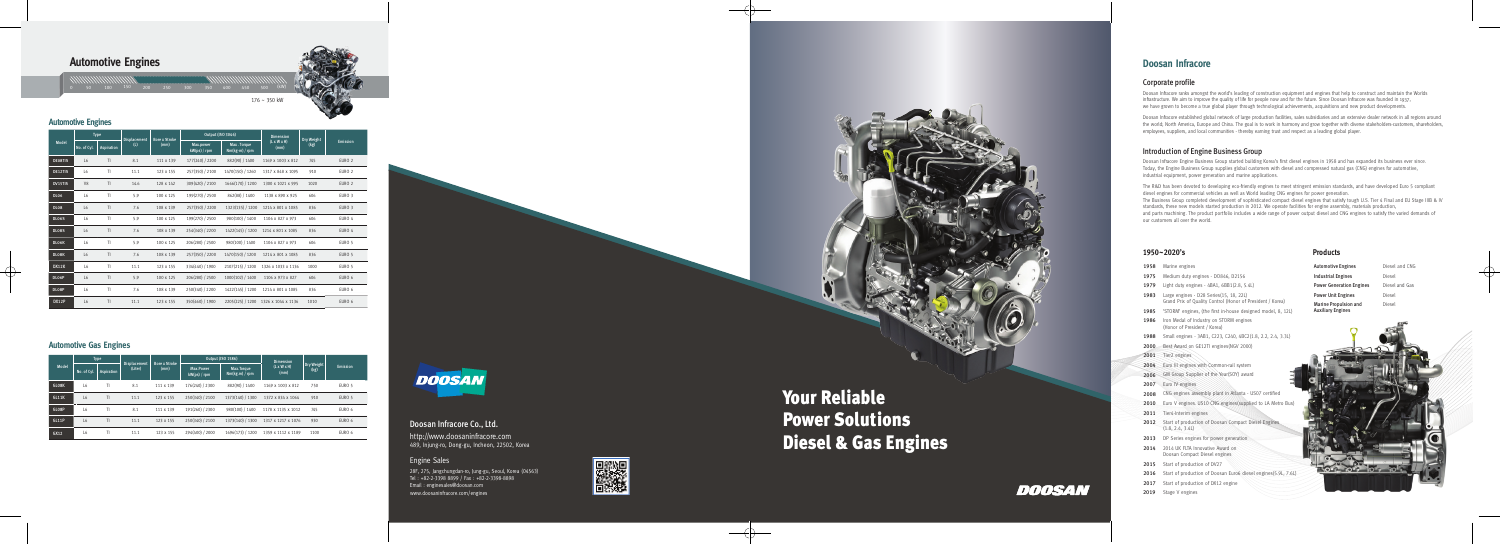# **Automotive Engines**

 $176 \sim 350$  kW

## **Automotive Engines**

|                | <b>Type</b>    |                   | <b>Displacement</b> | <b>Bore x Stroke</b> | <b>Output (ISO 3046)</b>  |                               | <b>Dimension</b>                | Dry Weight |                   |
|----------------|----------------|-------------------|---------------------|----------------------|---------------------------|-------------------------------|---------------------------------|------------|-------------------|
| Model          | No. of Cyl.    | <b>Aspiration</b> | (L)                 | (mm)                 | Max.power<br>kW(ps) / rpm | Max. Torque<br>Nm(kg·m) / rpm | $(L \times W \times H)$<br>(mm) | (kg)       | <b>Emission</b>   |
| <b>DE08TIS</b> | L <sub>6</sub> | T <sub>l</sub>    | 8.1                 | 111 x 139            | 177(240) / 2200           | 882(90) / 1400                | 1169 x 1003 x 812               | 745        | EURO <sub>2</sub> |
| DE12TIS        | L <sub>6</sub> | T1                | 11.1                | 123 x 155            | 257(350) / 2100           | 1470(150) / 1260              | 1317 x 848 x 1095               | 910        | EURO <sub>2</sub> |
| DV15TIS        | V <sub>8</sub> | T1                | 14.6                | 128 x 142            | 309(420) / 2100           | 1666(170) / 1200              | 1300 x 1021 x 995               | 1020       | EURO <sub>2</sub> |
| <b>DL06</b>    | L <sub>6</sub> | T1                | 5.9                 | 100 x 125            | 199(270) / 2500           | 862(88) / 1400                | 1138 x 890 x 925                | 606        | EURO 3            |
| <b>DL08</b>    | L6             | T <sub>l</sub>    | 7.6                 | 108 x 139            | 257(350) / 2200           | 1323(135) / 1200              | 1214 x 801 x 1085               | 836        | EURO <sub>3</sub> |
| <b>DL06S</b>   | L <sub>6</sub> | TI                | 5.9                 | 100 x 125            | 199(270) / 2500           | 980(100) / 1400               | 1106 x 827 x 973                | 606        | EURO 4            |
| DL08S          | L6             | T <sub>l</sub>    | 7.6                 | 108 x 139            | 254(340) / 2200           | 1422(145) / 1200              | 1214 x 801 x 1085               | 836        | EURO 4            |
| DL06K          | L <sub>6</sub> | T1                | 5.9                 | 100 x 125            | 206(280) / 2500           | 980(100) / 1400               | 1106 x 827 x 973                | 606        | EURO 5            |
| DL08K          | L6             | T <sub>l</sub>    | 7.6                 | 108 x 139            | 257(350) / 2200           | 1470(150) / 1200              | 1214 x 801 x 1085               | 836        | EURO 5            |
| DX12K          | L <sub>6</sub> | TI                | 11.1                | 123 x 155            | 334(440) / 1900           | 2107(215) / 1200              | 1326 x 1033 x 1136              | 1000       | EURO 5            |
| DL06P          | L6             | T <sub>l</sub>    | 5.9                 | 100 x 125            | 206(280) / 2500           | 1000(102) / 1400              | 1106 x 973 x 827                | 606        | EURO 6            |
| DL08P          | L <sub>6</sub> | T1                | 7.6                 | 108 x 139            | 250(340) / 2200           | 1422(145) / 1200              | 1214 x 801 x 1085               | 836        | EURO 6            |
| DX12P          | L <sub>6</sub> | T <sub>l</sub>    | 11.1                | 123 x 155            | 350(460) / 1900           | 2205(225) / 1200              | 1326 x 1044 x 1136              | 1010       | EURO 6            |

## **Automotive Gas Engines**

|              |                | <b>Type</b> | <b>Displacement</b> | <b>Bore x Stroke</b> |                           | <b>Output (ISO 1586)</b>     | <b>Dimension</b>                |                    |          |
|--------------|----------------|-------------|---------------------|----------------------|---------------------------|------------------------------|---------------------------------|--------------------|----------|
| Model        | No. of Cyl.    | Aspiration  | (Liter)             | (mm)                 | Max.Power<br>kW(ps) / rpm | Max.Torque<br>Nm(kg.m) / rpm | $(L \times W \times H)$<br>(mm) | Dry Weight<br>(kg) | Emission |
| GL08K        | L <sub>6</sub> | TI          | 8.1                 | 111 x 139            | 176(240) / 2300           | 882(90) / 1400               | 1169 x 1003 x 812               | 750                | EURO 5   |
| <b>GL11K</b> | L <sub>6</sub> | TI          | 11.1                | 123 x 155            | 250(340) / 2100           | 1373(140) / 1300             | 1372 x 834 x 1064               | 910                | EURO 5   |
| GL08P        | L <sub>6</sub> | TI          | 8.1                 | 111 x 139            | 191(260) / 2300           | 980(100) / 1400              | 1178 x 1135 x 1012              | 745                | EURO 6   |
| GL11P        | L <sub>6</sub> | TI          | 11.1                | 123 x 155            | 250(340) / 2100           | 1373(140) / 1300             | 1317 x 1217 x 1076              | 930                | EURO 6   |
| GX12         | L6             | ΤI          | 11.1                | 123 x 155            | 294(400) / 2000           | 1696(173) / 1200             | 1359 x 1112 x 1189              | 1100               | EURO 6   |



# Doosan Infracore Co., Ltd.

http://www.doosaninfracore.com 489, Injung-ro, Dong-gu, Incheon, 22502, Korea

## **Engine Sales**

28F, 275, Jangchungdan-ro, Jung-gu, Seoul, Korea (04563) Tel: +82-2-3398 8899 / Fax: +82-2-3398-8898 Email: enginesales@doosan.com<br>www.doosaninfracore.com/engines







# **Doosan Infracore**

### Corporate profile

Doosan Infracore ranks amongst the world's leading of construction equipment and engines that help to construct and maintain the Worlds infrastructure. We aim to improve the quality of life for people now and for the future. Since Doosan Infracore was founded in 1937, we have grown to become a true global player through technological achievements, acquisitions and new product developments.

Doosan Infracore established global network of large production facilities, sales subsidiaries and an extensive dealer network in all regions around the world; North America, Europe and China. The goal is to work in harmony and grow together with diverse stakeholders-customers, shareholders, employees, suppliers, and local communities - thereby earning trust and respect as a leading global player.

### Introduction of Engine Business Group

Doosan Infracore Engine Business Group started building Korea's first diesel engines in 1958 and has expanded its business ever since. Today, the Engine Business Group supplies global customers with diesel and compressed natural gas (CNG) engines for automotive, industrial equipment, power generation and marine applications.

The R&D has been devoted to developing eco-friendly engines to meet stringent emission standards, and have developed Euro 5 compliant diesel engines for commercial vehicles as well as World leading CNG engines for power generation. The Business Group completed development of sophisticated compact diesel engines that satisfy tough U.S. Tier 4 Final and EU Stage IIIB & IV standards, these new models started production in 2012. We operate facilities for engine assembly, materials production, and parts machining. The product portfolio includes a wide range of power output diesel and CNG engines to satisfy the varied demands of our customers all over the world.

### 1950~2020's

1958 Marine engines

2001 Tier2 engines

2007 Euro IV engines

2011 Tier4-Interim engines

 $(1.8, 2.4, 3.4l)$ 

1975 Medium duty engines - DO846, D2156

1983 Large engines - D28 Series(15, 18, 22L)

1986 Iron Medal of Industry on STORM engines (Honor of President / Korea)

2000 Best Award on GE12TI engines (NGV 2000)

2004 Euro III engines with Common-rail system 2006 GM Group Supplier of the Year(SOY) award

2013 DP Series engines for power generation

2014 2014 UK FLTA Innovative Award on Doosan Compact Diesel engines

2017 Start of production of DX12 engine

2015 Start of production of DV27

2019 Stage V engines

2008 CNG engines assembly plant in Atlanta - US07 certified

2012 Start of production of Doosan Compact Diesel Engines

1979 Light duty engines - 4BA1, 6BB1(2.8, 5.4L)

Grand Prix of Quality Control (Honor of President / Korea)

## **Products**

- **Automotive Engines Industrial Engines Power Unit Engines** Marine Propulsion and **Auxiliary Engines**
- **Power Generation Engines** 1985 'STORM' engines, (the first in-house designed model, 8, 12L) 1988 Small engines - 3AB1, C223, C240, 4BC2(1.8, 2.2, 2.4, 3.3L) 2010 Euro V engines. US10 CNG engines (supplied to LA Metro Bus 2016 Start of production of Doosan Euro6 diesel engines(5.9L, 7.6L)

Diesel and CNG Diesel Diesel and Gas Diese Diesel